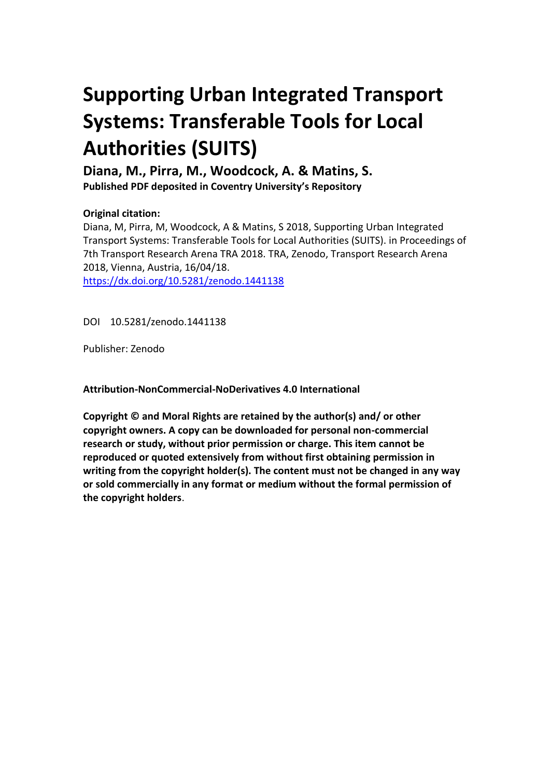# **Supporting Urban Integrated Transport Systems: Transferable Tools for Local Authorities (SUITS)**

**Diana, M., Pirra, M., Woodcock, A. & Matins, S.**

**Published PDF deposited in Coventry University's Repository** 

### **Original citation:**

Diana, M, Pirra, M, Woodcock, A & Matins, S 2018, Supporting Urban Integrated Transport Systems: Transferable Tools for Local Authorities (SUITS). in Proceedings of 7th Transport Research Arena TRA 2018. TRA, Zenodo, Transport Research Arena 2018, Vienna, Austria, 16/04/18. https://dx.doi.org/10.5281/zenodo.1441138

DOI 10.5281/zenodo.1441138

Publisher: Zenodo

**Attribution-NonCommercial-NoDerivatives 4.0 International**

**Copyright © and Moral Rights are retained by the author(s) and/ or other copyright owners. A copy can be downloaded for personal non-commercial research or study, without prior permission or charge. This item cannot be reproduced or quoted extensively from without first obtaining permission in writing from the copyright holder(s). The content must not be changed in any way or sold commercially in any format or medium without the formal permission of the copyright holders**.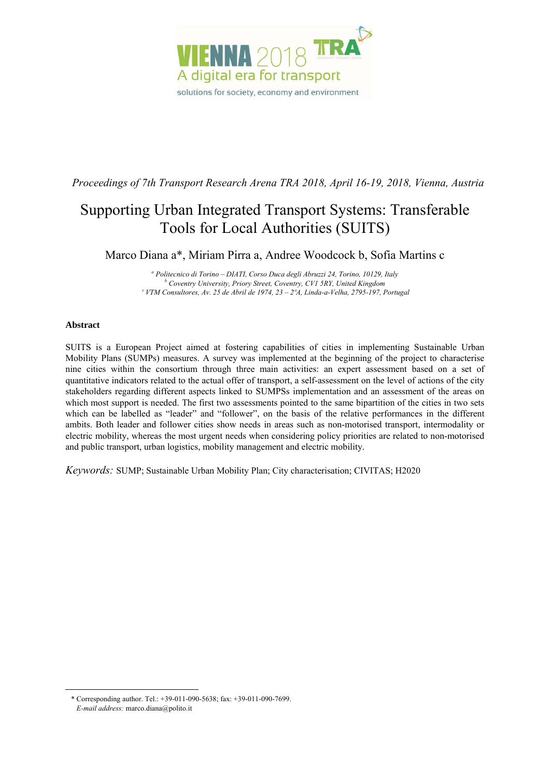

*Proceedings of 7th Transport Research Arena TRA 2018, April 16-19, 2018, Vienna, Austria* 

## Supporting Urban Integrated Transport Systems: Transferable Tools for Local Authorities (SUITS)

Marco Diana a\*, Miriam Pirra a, Andree Woodcock b, Sofia Martins c

<sup>a</sup> Politecnico di Torino – DIATI, Corso Duca degli Abruzzi 24, Torino, 10129, Italy b<br>*b Coventra Università Brigga Street, Coventra CVI 5PV, United Kingdom Coventry University, Priory Street, Coventry, CV1 5RY, United Kingdom c VTM Consultores, Av. 25 de Abril de 1974, 23 – 2ºA, Linda-a-Velha, 2795-197, Portugal* 

#### **Abstract**

-

SUITS is a European Project aimed at fostering capabilities of cities in implementing Sustainable Urban Mobility Plans (SUMPs) measures. A survey was implemented at the beginning of the project to characterise nine cities within the consortium through three main activities: an expert assessment based on a set of quantitative indicators related to the actual offer of transport, a self-assessment on the level of actions of the city stakeholders regarding different aspects linked to SUMPSs implementation and an assessment of the areas on which most support is needed. The first two assessments pointed to the same bipartition of the cities in two sets which can be labelled as "leader" and "follower", on the basis of the relative performances in the different ambits. Both leader and follower cities show needs in areas such as non-motorised transport, intermodality or electric mobility, whereas the most urgent needs when considering policy priorities are related to non-motorised and public transport, urban logistics, mobility management and electric mobility.

*Keywords:* SUMP; Sustainable Urban Mobility Plan; City characterisation; CIVITAS; H2020

<sup>\*</sup> Corresponding author. Tel.: +39-011-090-5638; fax: +39-011-090-7699. *E-mail address:* marco.diana@polito.it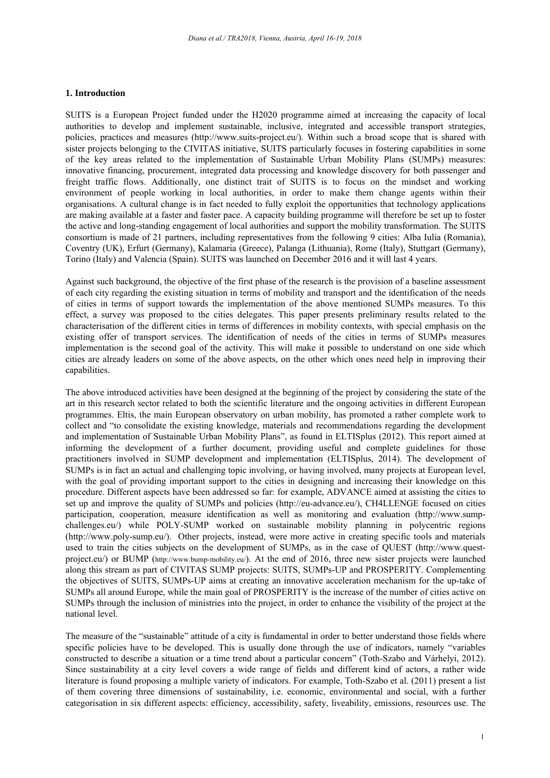#### **1. Introduction**

SUITS is a European Project funded under the H2020 programme aimed at increasing the capacity of local authorities to develop and implement sustainable, inclusive, integrated and accessible transport strategies, policies, practices and measures (http://www.suits-project.eu/). Within such a broad scope that is shared with sister projects belonging to the CIVITAS initiative, SUITS particularly focuses in fostering capabilities in some of the key areas related to the implementation of Sustainable Urban Mobility Plans (SUMPs) measures: innovative financing, procurement, integrated data processing and knowledge discovery for both passenger and freight traffic flows. Additionally, one distinct trait of SUITS is to focus on the mindset and working environment of people working in local authorities, in order to make them change agents within their organisations. A cultural change is in fact needed to fully exploit the opportunities that technology applications are making available at a faster and faster pace. A capacity building programme will therefore be set up to foster the active and long-standing engagement of local authorities and support the mobility transformation. The SUITS consortium is made of 21 partners, including representatives from the following 9 cities: Alba Iulia (Romania), Coventry (UK), Erfurt (Germany), Kalamaria (Greece), Palanga (Lithuania), Rome (Italy), Stuttgart (Germany), Torino (Italy) and Valencia (Spain). SUITS was launched on December 2016 and it will last 4 years.

Against such background, the objective of the first phase of the research is the provision of a baseline assessment of each city regarding the existing situation in terms of mobility and transport and the identification of the needs of cities in terms of support towards the implementation of the above mentioned SUMPs measures. To this effect, a survey was proposed to the cities delegates. This paper presents preliminary results related to the characterisation of the different cities in terms of differences in mobility contexts, with special emphasis on the existing offer of transport services. The identification of needs of the cities in terms of SUMPs measures implementation is the second goal of the activity. This will make it possible to understand on one side which cities are already leaders on some of the above aspects, on the other which ones need help in improving their capabilities.

The above introduced activities have been designed at the beginning of the project by considering the state of the art in this research sector related to both the scientific literature and the ongoing activities in different European programmes. Eltis, the main European observatory on urban mobility, has promoted a rather complete work to collect and "to consolidate the existing knowledge, materials and recommendations regarding the development and implementation of Sustainable Urban Mobility Plans", as found in ELTISplus (2012). This report aimed at informing the development of a further document, providing useful and complete guidelines for those practitioners involved in SUMP development and implementation (ELTISplus, 2014). The development of SUMPs is in fact an actual and challenging topic involving, or having involved, many projects at European level, with the goal of providing important support to the cities in designing and increasing their knowledge on this procedure. Different aspects have been addressed so far: for example, ADVANCE aimed at assisting the cities to set up and improve the quality of SUMPs and policies (http://eu-advance.eu/), CH4LLENGE focused on cities participation, cooperation, measure identification as well as monitoring and evaluation (http://www.sumpchallenges.eu/) while POLY-SUMP worked on sustainable mobility planning in polycentric regions (http://www.poly-sump.eu/). Other projects, instead, were more active in creating specific tools and materials used to train the cities subjects on the development of SUMPs, as in the case of QUEST (http://www.questproject.eu/) or BUMP (http://www.bump-mobility.eu/). At the end of 2016, three new sister projects were launched along this stream as part of CIVITAS SUMP projects: SUITS, SUMPs-UP and PROSPERITY. Complementing the objectives of SUITS, SUMPs-UP aims at creating an innovative acceleration mechanism for the up-take of SUMPs all around Europe, while the main goal of PROSPERITY is the increase of the number of cities active on SUMPs through the inclusion of ministries into the project, in order to enhance the visibility of the project at the national level.

The measure of the "sustainable" attitude of a city is fundamental in order to better understand those fields where specific policies have to be developed. This is usually done through the use of indicators, namely "variables constructed to describe a situation or a time trend about a particular concern" (Toth-Szabo and Várhelyi, 2012). Since sustainability at a city level covers a wide range of fields and different kind of actors, a rather wide literature is found proposing a multiple variety of indicators. For example, Toth-Szabo et al. (2011) present a list of them covering three dimensions of sustainability, i.e. economic, environmental and social, with a further categorisation in six different aspects: efficiency, accessibility, safety, liveability, emissions, resources use. The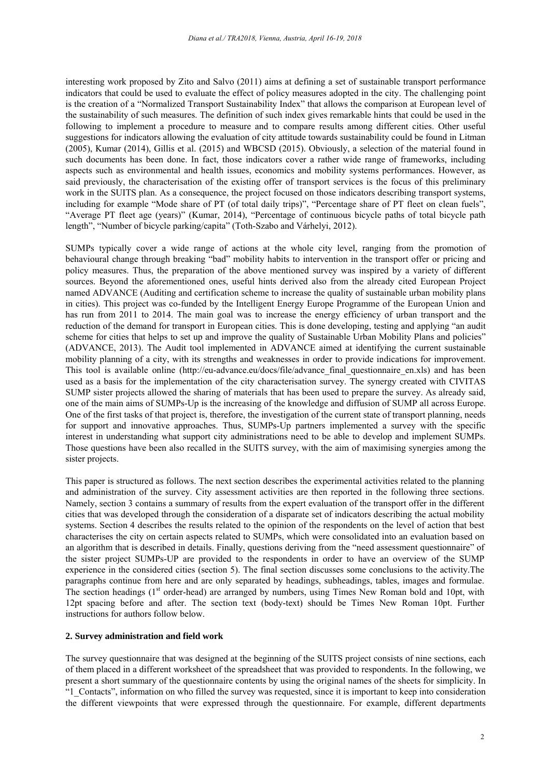interesting work proposed by Zito and Salvo (2011) aims at defining a set of sustainable transport performance indicators that could be used to evaluate the effect of policy measures adopted in the city. The challenging point is the creation of a "Normalized Transport Sustainability Index" that allows the comparison at European level of the sustainability of such measures. The definition of such index gives remarkable hints that could be used in the following to implement a procedure to measure and to compare results among different cities. Other useful suggestions for indicators allowing the evaluation of city attitude towards sustainability could be found in Litman (2005), Kumar (2014), Gillis et al. (2015) and WBCSD (2015). Obviously, a selection of the material found in such documents has been done. In fact, those indicators cover a rather wide range of frameworks, including aspects such as environmental and health issues, economics and mobility systems performances. However, as said previously, the characterisation of the existing offer of transport services is the focus of this preliminary work in the SUITS plan. As a consequence, the project focused on those indicators describing transport systems, including for example "Mode share of PT (of total daily trips)", "Percentage share of PT fleet on clean fuels", "Average PT fleet age (years)" (Kumar, 2014), "Percentage of continuous bicycle paths of total bicycle path length", "Number of bicycle parking/capita" (Toth-Szabo and Várhelyi, 2012).

SUMPs typically cover a wide range of actions at the whole city level, ranging from the promotion of behavioural change through breaking "bad" mobility habits to intervention in the transport offer or pricing and policy measures. Thus, the preparation of the above mentioned survey was inspired by a variety of different sources. Beyond the aforementioned ones, useful hints derived also from the already cited European Project named ADVANCE (Auditing and certification scheme to increase the quality of sustainable urban mobility plans in cities). This project was co-funded by the Intelligent Energy Europe Programme of the European Union and has run from 2011 to 2014. The main goal was to increase the energy efficiency of urban transport and the reduction of the demand for transport in European cities. This is done developing, testing and applying "an audit scheme for cities that helps to set up and improve the quality of Sustainable Urban Mobility Plans and policies" (ADVANCE, 2013). The Audit tool implemented in ADVANCE aimed at identifying the current sustainable mobility planning of a city, with its strengths and weaknesses in order to provide indications for improvement. This tool is available online (http://eu-advance.eu/docs/file/advance\_final\_questionnaire\_en.xls) and has been used as a basis for the implementation of the city characterisation survey. The synergy created with CIVITAS SUMP sister projects allowed the sharing of materials that has been used to prepare the survey. As already said, one of the main aims of SUMPs-Up is the increasing of the knowledge and diffusion of SUMP all across Europe. One of the first tasks of that project is, therefore, the investigation of the current state of transport planning, needs for support and innovative approaches. Thus, SUMPs-Up partners implemented a survey with the specific interest in understanding what support city administrations need to be able to develop and implement SUMPs. Those questions have been also recalled in the SUITS survey, with the aim of maximising synergies among the sister projects.

This paper is structured as follows. The next section describes the experimental activities related to the planning and administration of the survey. City assessment activities are then reported in the following three sections. Namely, section 3 contains a summary of results from the expert evaluation of the transport offer in the different cities that was developed through the consideration of a disparate set of indicators describing the actual mobility systems. Section 4 describes the results related to the opinion of the respondents on the level of action that best characterises the city on certain aspects related to SUMPs, which were consolidated into an evaluation based on an algorithm that is described in details. Finally, questions deriving from the "need assessment questionnaire" of the sister project SUMPs-UP are provided to the respondents in order to have an overview of the SUMP experience in the considered cities (section 5). The final section discusses some conclusions to the activity.The paragraphs continue from here and are only separated by headings, subheadings, tables, images and formulae. The section headings (1<sup>st</sup> order-head) are arranged by numbers, using Times New Roman bold and 10pt, with 12pt spacing before and after. The section text (body-text) should be Times New Roman 10pt. Further instructions for authors follow below.

#### **2. Survey administration and field work**

The survey questionnaire that was designed at the beginning of the SUITS project consists of nine sections, each of them placed in a different worksheet of the spreadsheet that was provided to respondents. In the following, we present a short summary of the questionnaire contents by using the original names of the sheets for simplicity. In "1\_Contacts", information on who filled the survey was requested, since it is important to keep into consideration the different viewpoints that were expressed through the questionnaire. For example, different departments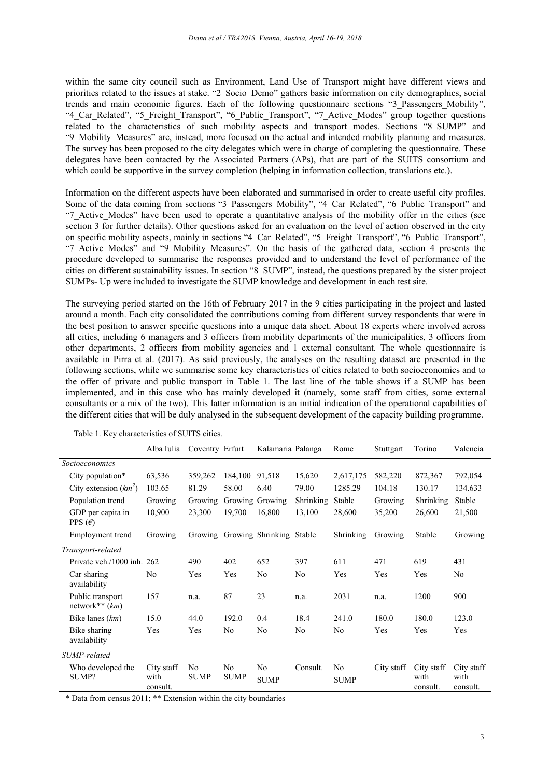within the same city council such as Environment, Land Use of Transport might have different views and priorities related to the issues at stake. "2\_Socio\_Demo" gathers basic information on city demographics, social trends and main economic figures. Each of the following questionnaire sections "3\_Passengers\_Mobility", "4\_Car\_Related", "5\_Freight\_Transport", "6\_Public\_Transport", "7\_Active\_Modes" group together questions related to the characteristics of such mobility aspects and transport modes. Sections "8\_SUMP" and "9\_Mobility\_Measures" are, instead, more focused on the actual and intended mobility planning and measures. The survey has been proposed to the city delegates which were in charge of completing the questionnaire. These delegates have been contacted by the Associated Partners (APs), that are part of the SUITS consortium and which could be supportive in the survey completion (helping in information collection, translations etc.).

Information on the different aspects have been elaborated and summarised in order to create useful city profiles. Some of the data coming from sections "3\_Passengers\_Mobility", "4\_Car\_Related", "6\_Public\_Transport" and "7\_Active\_Modes" have been used to operate a quantitative analysis of the mobility offer in the cities (see section 3 for further details). Other questions asked for an evaluation on the level of action observed in the city on specific mobility aspects, mainly in sections "4\_Car\_Related", "5\_Freight\_Transport", "6\_Public\_Transport", "7 Active Modes" and "9 Mobility Measures". On the basis of the gathered data, section 4 presents the procedure developed to summarise the responses provided and to understand the level of performance of the cities on different sustainability issues. In section "8\_SUMP", instead, the questions prepared by the sister project SUMPs- Up were included to investigate the SUMP knowledge and development in each test site.

The surveying period started on the 16th of February 2017 in the 9 cities participating in the project and lasted around a month. Each city consolidated the contributions coming from different survey respondents that were in the best position to answer specific questions into a unique data sheet. About 18 experts where involved across all cities, including 6 managers and 3 officers from mobility departments of the municipalities, 3 officers from other departments, 2 officers from mobility agencies and 1 external consultant. The whole questionnaire is available in Pirra et al. (2017). As said previously, the analyses on the resulting dataset are presented in the following sections, while we summarise some key characteristics of cities related to both socioeconomics and to the offer of private and public transport in Table 1. The last line of the table shows if a SUMP has been implemented, and in this case who has mainly developed it (namely, some staff from cities, some external consultants or a mix of the two). This latter information is an initial indication of the operational capabilities of the different cities that will be duly analysed in the subsequent development of the capacity building programme.

|                                       | Alba Iulia                     | Coventry Erfurt               |                   | Kalamaria Palanga                |                | Rome              | Stuttgart  | Torino                         | Valencia                       |
|---------------------------------------|--------------------------------|-------------------------------|-------------------|----------------------------------|----------------|-------------------|------------|--------------------------------|--------------------------------|
| <i>Socioeconomics</i>                 |                                |                               |                   |                                  |                |                   |            |                                |                                |
| City population*                      | 63,536                         | 359,262                       | 184,100           | 91,518                           | 15,620         | 2,617,175         | 582,220    | 872,367                        | 792,054                        |
| City extension $(km^2)$               | 103.65                         | 81.29                         | 58.00             | 6.40                             | 79.00          | 1285.29           | 104.18     | 130.17                         | 134.633                        |
| Population trend                      | Growing                        | Growing                       |                   | Growing Growing                  | Shrinking      | Stable            | Growing    | Shrinking                      | Stable                         |
| GDP per capita in<br>PPS $(\epsilon)$ | 10,900                         | 23,300                        | 19,700            | 16,800                           | 13,100         | 28,600            | 35,200     | 26,600                         | 21,500                         |
| Employment trend                      | Growing                        |                               |                   | Growing Growing Shrinking Stable |                | Shrinking         | Growing    | Stable                         | Growing                        |
| Transport-related                     |                                |                               |                   |                                  |                |                   |            |                                |                                |
| Private veh./1000 inh.                | 262                            | 490                           | 402               | 652                              | 397            | 611               | 471        | 619                            | 431                            |
| Car sharing<br>availability           | No                             | Yes                           | Yes               | No                               | No             | Yes               | Yes        | Yes                            | No                             |
| Public transport<br>network** $(km)$  | 157                            | n.a.                          | 87                | 23                               | n.a.           | 2031              | n.a.       | 1200                           | 900                            |
| Bike lanes $(km)$                     | 15.0                           | 44.0                          | 192.0             | 0.4                              | 18.4           | 241.0             | 180.0      | 180.0                          | 123.0                          |
| Bike sharing<br>availability          | Yes                            | Yes                           | N <sub>0</sub>    | No                               | N <sub>0</sub> | N <sub>0</sub>    | Yes        | Yes                            | Yes                            |
| SUMP-related                          |                                |                               |                   |                                  |                |                   |            |                                |                                |
| Who developed the<br>SUMP?            | City staff<br>with<br>consult. | N <sub>0</sub><br><b>SUMP</b> | No<br><b>SUMP</b> | No<br><b>SUMP</b>                | Consult.       | No<br><b>SUMP</b> | City staff | City staff<br>with<br>consult. | City staff<br>with<br>consult. |

Table 1. Key characteristics of SUITS cities.

\* Data from census 2011; \*\* Extension within the city boundaries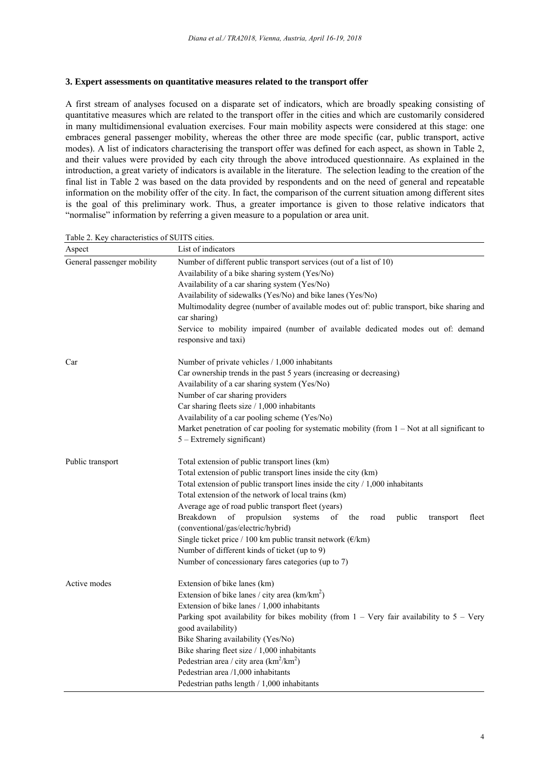#### **3. Expert assessments on quantitative measures related to the transport offer**

A first stream of analyses focused on a disparate set of indicators, which are broadly speaking consisting of quantitative measures which are related to the transport offer in the cities and which are customarily considered in many multidimensional evaluation exercises. Four main mobility aspects were considered at this stage: one embraces general passenger mobility, whereas the other three are mode specific (car, public transport, active modes). A list of indicators characterising the transport offer was defined for each aspect, as shown in Table 2, and their values were provided by each city through the above introduced questionnaire. As explained in the introduction, a great variety of indicators is available in the literature. The selection leading to the creation of the final list in Table 2 was based on the data provided by respondents and on the need of general and repeatable information on the mobility offer of the city. In fact, the comparison of the current situation among different sites is the goal of this preliminary work. Thus, a greater importance is given to those relative indicators that "normalise" information by referring a given measure to a population or area unit.

| Aspect                     | List of indicators                                                                                          |  |  |  |  |  |  |  |
|----------------------------|-------------------------------------------------------------------------------------------------------------|--|--|--|--|--|--|--|
| General passenger mobility | Number of different public transport services (out of a list of 10)                                         |  |  |  |  |  |  |  |
|                            | Availability of a bike sharing system (Yes/No)                                                              |  |  |  |  |  |  |  |
|                            | Availability of a car sharing system (Yes/No)                                                               |  |  |  |  |  |  |  |
|                            | Availability of sidewalks (Yes/No) and bike lanes (Yes/No)                                                  |  |  |  |  |  |  |  |
|                            | Multimodality degree (number of available modes out of: public transport, bike sharing and                  |  |  |  |  |  |  |  |
|                            | car sharing)                                                                                                |  |  |  |  |  |  |  |
|                            | Service to mobility impaired (number of available dedicated modes out of: demand                            |  |  |  |  |  |  |  |
|                            | responsive and taxi)                                                                                        |  |  |  |  |  |  |  |
| Car                        | Number of private vehicles / 1,000 inhabitants                                                              |  |  |  |  |  |  |  |
|                            | Car ownership trends in the past 5 years (increasing or decreasing)                                         |  |  |  |  |  |  |  |
|                            | Availability of a car sharing system (Yes/No)                                                               |  |  |  |  |  |  |  |
|                            | Number of car sharing providers                                                                             |  |  |  |  |  |  |  |
|                            | Car sharing fleets size / 1,000 inhabitants                                                                 |  |  |  |  |  |  |  |
|                            | Availability of a car pooling scheme (Yes/No)                                                               |  |  |  |  |  |  |  |
|                            | Market penetration of car pooling for systematic mobility (from $1 - Not$ at all significant to             |  |  |  |  |  |  |  |
|                            | 5 - Extremely significant)                                                                                  |  |  |  |  |  |  |  |
| Public transport           | Total extension of public transport lines (km)                                                              |  |  |  |  |  |  |  |
|                            | Total extension of public transport lines inside the city (km)                                              |  |  |  |  |  |  |  |
|                            | Total extension of public transport lines inside the city $/ 1,000$ inhabitants                             |  |  |  |  |  |  |  |
|                            | Total extension of the network of local trains (km)                                                         |  |  |  |  |  |  |  |
|                            | Average age of road public transport fleet (years)                                                          |  |  |  |  |  |  |  |
|                            | Breakdown<br>of<br>propulsion<br>systems<br>of<br>public<br>fleet<br>the<br>road<br>transport               |  |  |  |  |  |  |  |
|                            | (conventional/gas/electric/hybrid)                                                                          |  |  |  |  |  |  |  |
|                            | Single ticket price / 100 km public transit network ( $\epsilon/km$ )                                       |  |  |  |  |  |  |  |
|                            | Number of different kinds of ticket (up to 9)                                                               |  |  |  |  |  |  |  |
|                            | Number of concessionary fares categories (up to 7)                                                          |  |  |  |  |  |  |  |
| Active modes               | Extension of bike lanes (km)                                                                                |  |  |  |  |  |  |  |
|                            | Extension of bike lanes / city area $(km/km^2)$                                                             |  |  |  |  |  |  |  |
|                            | Extension of bike lanes / 1,000 inhabitants                                                                 |  |  |  |  |  |  |  |
|                            | Parking spot availability for bikes mobility (from $1 - \text{Very}$ fair availability to $5 - \text{Very}$ |  |  |  |  |  |  |  |
|                            | good availability)                                                                                          |  |  |  |  |  |  |  |
|                            | Bike Sharing availability (Yes/No)                                                                          |  |  |  |  |  |  |  |
|                            | Bike sharing fleet size / 1,000 inhabitants                                                                 |  |  |  |  |  |  |  |
|                            | Pedestrian area / city area $(km^2/km^2)$                                                                   |  |  |  |  |  |  |  |
|                            | Pedestrian area /1,000 inhabitants                                                                          |  |  |  |  |  |  |  |
|                            | Pedestrian paths length / 1,000 inhabitants                                                                 |  |  |  |  |  |  |  |

Table 2. Key characteristics of SUITS cities.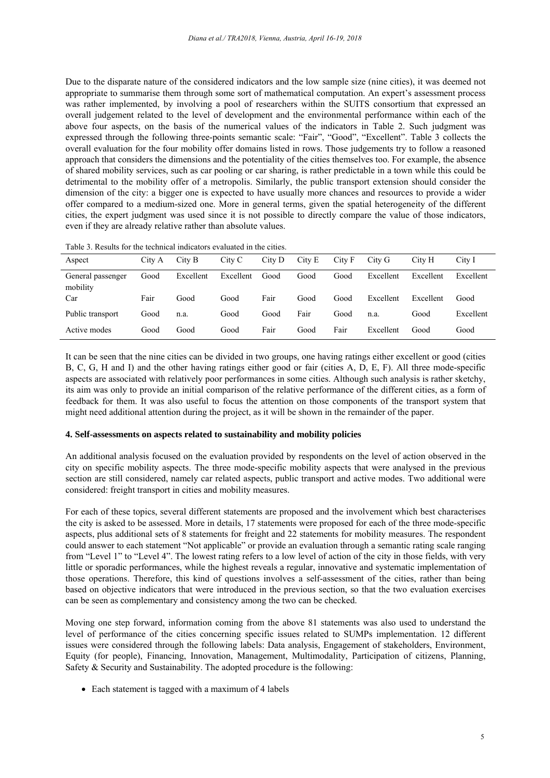Due to the disparate nature of the considered indicators and the low sample size (nine cities), it was deemed not appropriate to summarise them through some sort of mathematical computation. An expert's assessment process was rather implemented, by involving a pool of researchers within the SUITS consortium that expressed an overall judgement related to the level of development and the environmental performance within each of the above four aspects, on the basis of the numerical values of the indicators in Table 2. Such judgment was expressed through the following three-points semantic scale: "Fair", "Good", "Excellent". Table 3 collects the overall evaluation for the four mobility offer domains listed in rows. Those judgements try to follow a reasoned approach that considers the dimensions and the potentiality of the cities themselves too. For example, the absence of shared mobility services, such as car pooling or car sharing, is rather predictable in a town while this could be detrimental to the mobility offer of a metropolis. Similarly, the public transport extension should consider the dimension of the city: a bigger one is expected to have usually more chances and resources to provide a wider offer compared to a medium-sized one. More in general terms, given the spatial heterogeneity of the different cities, the expert judgment was used since it is not possible to directly compare the value of those indicators, even if they are already relative rather than absolute values.

| Aspect                        | City A | City B    | City C    | City D | City E | City F | City G    | City H    | City I    |
|-------------------------------|--------|-----------|-----------|--------|--------|--------|-----------|-----------|-----------|
| General passenger<br>mobility | Good   | Excellent | Excellent | Good   | Good   | Good   | Excellent | Excellent | Excellent |
| Car                           | Fair   | Good      | Good      | Fair   | Good   | Good   | Excellent | Excellent | Good      |
| Public transport              | Good   | n.a.      | Good      | Good   | Fair   | Good   | n.a.      | Good      | Excellent |
| Active modes                  | Good   | Good      | Good      | Fair   | Good   | Fair   | Excellent | Good      | Good      |

It can be seen that the nine cities can be divided in two groups, one having ratings either excellent or good (cities B, C, G, H and I) and the other having ratings either good or fair (cities A, D, E, F). All three mode-specific aspects are associated with relatively poor performances in some cities. Although such analysis is rather sketchy, its aim was only to provide an initial comparison of the relative performance of the different cities, as a form of feedback for them. It was also useful to focus the attention on those components of the transport system that might need additional attention during the project, as it will be shown in the remainder of the paper.

#### **4. Self-assessments on aspects related to sustainability and mobility policies**

An additional analysis focused on the evaluation provided by respondents on the level of action observed in the city on specific mobility aspects. The three mode-specific mobility aspects that were analysed in the previous section are still considered, namely car related aspects, public transport and active modes. Two additional were considered: freight transport in cities and mobility measures.

For each of these topics, several different statements are proposed and the involvement which best characterises the city is asked to be assessed. More in details, 17 statements were proposed for each of the three mode-specific aspects, plus additional sets of 8 statements for freight and 22 statements for mobility measures. The respondent could answer to each statement "Not applicable" or provide an evaluation through a semantic rating scale ranging from "Level 1" to "Level 4". The lowest rating refers to a low level of action of the city in those fields, with very little or sporadic performances, while the highest reveals a regular, innovative and systematic implementation of those operations. Therefore, this kind of questions involves a self-assessment of the cities, rather than being based on objective indicators that were introduced in the previous section, so that the two evaluation exercises can be seen as complementary and consistency among the two can be checked.

Moving one step forward, information coming from the above 81 statements was also used to understand the level of performance of the cities concerning specific issues related to SUMPs implementation. 12 different issues were considered through the following labels: Data analysis, Engagement of stakeholders, Environment, Equity (for people), Financing, Innovation, Management, Multimodality, Participation of citizens, Planning, Safety & Security and Sustainability. The adopted procedure is the following:

• Each statement is tagged with a maximum of 4 labels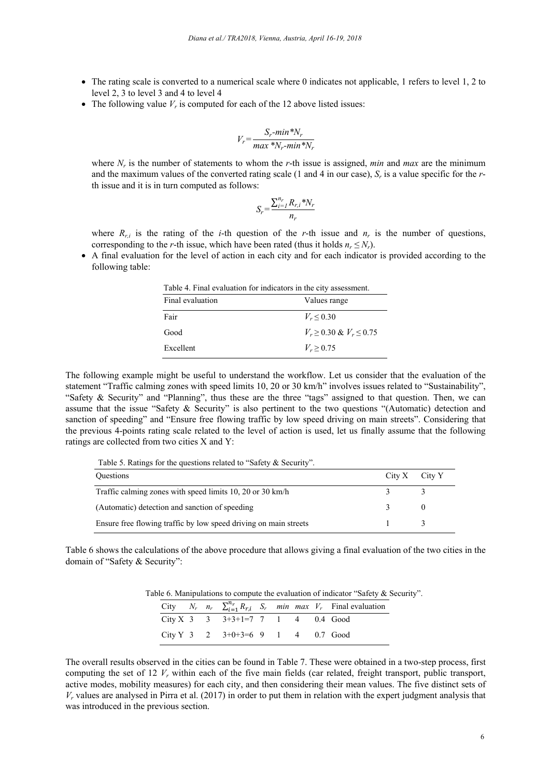- The rating scale is converted to a numerical scale where 0 indicates not applicable, 1 refers to level 1, 2 to level 2, 3 to level 3 and 4 to level 4
- The following value  $V_r$  is computed for each of the 12 above listed issues:

$$
V_r = \frac{S_r \text{-}min \,^* N_r}{\max \,^* N_r \text{-}min \,^* N_r}
$$

where *Nr* is the number of statements to whom the *r*-th issue is assigned, *min* and *max* are the minimum and the maximum values of the converted rating scale (1 and 4 in our case), *Sr* is a value specific for the *r*th issue and it is in turn computed as follows:

$$
S_r = \frac{\sum_{i=1}^{n_r} R_{r,i} * N_r}{n_r}
$$

where  $R_{ri}$  is the rating of the *i*-th question of the *r*-th issue and  $n_r$  is the number of questions, corresponding to the *r*-th issue, which have been rated (thus it holds  $n_r \leq N_r$ ).

 A final evaluation for the level of action in each city and for each indicator is provided according to the following table:

| Table 4. Final evaluation for indicators in the city assessment. |                                  |  |  |  |  |  |
|------------------------------------------------------------------|----------------------------------|--|--|--|--|--|
| Final evaluation                                                 | Values range                     |  |  |  |  |  |
| Fair                                                             | $V_r \le 0.30$                   |  |  |  |  |  |
| Good                                                             | $V_r \geq 0.30 \& V_r \leq 0.75$ |  |  |  |  |  |
| Excellent                                                        | $V_r \ge 0.75$                   |  |  |  |  |  |

The following example might be useful to understand the workflow. Let us consider that the evaluation of the statement "Traffic calming zones with speed limits 10, 20 or 30 km/h" involves issues related to "Sustainability", "Safety & Security" and "Planning", thus these are the three "tags" assigned to that question. Then, we can assume that the issue "Safety & Security" is also pertinent to the two questions "(Automatic) detection and sanction of speeding" and "Ensure free flowing traffic by low speed driving on main streets". Considering that the previous 4-points rating scale related to the level of action is used, let us finally assume that the following ratings are collected from two cities X and Y:

Table 5. Ratings for the questions related to "Safety & Security".

| <b>Ouestions</b>                                                 | $City X$ City Y |  |
|------------------------------------------------------------------|-----------------|--|
| Traffic calming zones with speed limits 10, 20 or 30 km/h        |                 |  |
| (Automatic) detection and sanction of speeding                   |                 |  |
| Ensure free flowing traffic by low speed driving on main streets |                 |  |

Table 6 shows the calculations of the above procedure that allows giving a final evaluation of the two cities in the domain of "Safety & Security":

Table 6. Manipulations to compute the evaluation of indicator "Safety & Security".

|  |                                                       |  |  | City $N_r$ $n_r$ $\sum_{i=1}^{n_r} R_{r,i}$ $S_r$ $min$ $max$ $V_r$ Final evaluation |
|--|-------------------------------------------------------|--|--|--------------------------------------------------------------------------------------|
|  | City X $3 \t3 \t3 \t3+3+1=7 \t7 \t1 \t4 \t0.4 \tGood$ |  |  |                                                                                      |
|  | City Y 3 2 $3+0+3=6$ 9 1 4 0.7 Good                   |  |  |                                                                                      |

The overall results observed in the cities can be found in Table 7. These were obtained in a two-step process, first computing the set of 12  $V_r$  within each of the five main fields (car related, freight transport, public transport, active modes, mobility measures) for each city, and then considering their mean values. The five distinct sets of  $V_r$  values are analysed in Pirra et al. (2017) in order to put them in relation with the expert judgment analysis that was introduced in the previous section.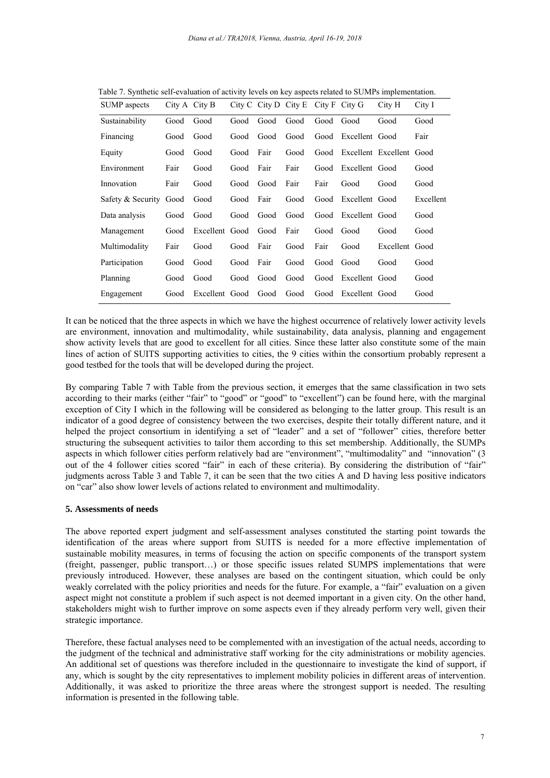|                        |      |               |                             |      |      |      | City H                                            | City I                                                                                                                               |
|------------------------|------|---------------|-----------------------------|------|------|------|---------------------------------------------------|--------------------------------------------------------------------------------------------------------------------------------------|
| Good                   | Good | Good          | Good                        | Good |      |      | Good                                              | Good                                                                                                                                 |
| Good                   | Good | Good          | Good                        | Good | Good |      |                                                   | Fair                                                                                                                                 |
| Good                   | Good | Good          | Fair                        | Good | Good |      |                                                   |                                                                                                                                      |
| Fair                   | Good | Good          | Fair                        | Fair | Good |      |                                                   | Good                                                                                                                                 |
| Fair                   | Good | Good          | Good                        | Fair | Fair | Good | Good                                              | Good                                                                                                                                 |
| Safety & Security Good | Good | Good          | Fair                        | Good | Good |      |                                                   | Excellent                                                                                                                            |
| Good                   | Good | Good          | Good                        | Good | Good |      |                                                   | Good                                                                                                                                 |
| Good                   |      | Good          | Good                        | Fair | Good | Good | Good                                              | Good                                                                                                                                 |
| Fair                   | Good | Good          | Fair                        | Good | Fair | Good | Excellent Good                                    |                                                                                                                                      |
| Good                   | Good | Good          | Fair                        | Good | Good | Good | Good                                              | Good                                                                                                                                 |
| Good                   | Good | Good          | Good                        | Good | Good |      |                                                   | Good                                                                                                                                 |
| Good                   |      |               | Good                        | Good | Good |      |                                                   | Good                                                                                                                                 |
|                        |      | City A City B | Excellent<br>Excellent Good |      |      |      | $City C$ City D City E City F City G<br>Good Good | Excellent Good<br>Excellent Excellent Good<br>Excellent Good<br>Excellent Good<br>Excellent Good<br>Excellent Good<br>Excellent Good |

Table 7. Synthetic self-evaluation of activity levels on key aspects related to SUMPs implementation.

It can be noticed that the three aspects in which we have the highest occurrence of relatively lower activity levels are environment, innovation and multimodality, while sustainability, data analysis, planning and engagement show activity levels that are good to excellent for all cities. Since these latter also constitute some of the main lines of action of SUITS supporting activities to cities, the 9 cities within the consortium probably represent a good testbed for the tools that will be developed during the project.

By comparing Table 7 with Table from the previous section, it emerges that the same classification in two sets according to their marks (either "fair" to "good" or "good" to "excellent") can be found here, with the marginal exception of City I which in the following will be considered as belonging to the latter group. This result is an indicator of a good degree of consistency between the two exercises, despite their totally different nature, and it helped the project consortium in identifying a set of "leader" and a set of "follower" cities, therefore better structuring the subsequent activities to tailor them according to this set membership. Additionally, the SUMPs aspects in which follower cities perform relatively bad are "environment", "multimodality" and "innovation" (3 out of the 4 follower cities scored "fair" in each of these criteria). By considering the distribution of "fair" judgments across Table 3 and Table 7, it can be seen that the two cities A and D having less positive indicators on "car" also show lower levels of actions related to environment and multimodality.

#### **5. Assessments of needs**

The above reported expert judgment and self-assessment analyses constituted the starting point towards the identification of the areas where support from SUITS is needed for a more effective implementation of sustainable mobility measures, in terms of focusing the action on specific components of the transport system (freight, passenger, public transport…) or those specific issues related SUMPS implementations that were previously introduced. However, these analyses are based on the contingent situation, which could be only weakly correlated with the policy priorities and needs for the future. For example, a "fair" evaluation on a given aspect might not constitute a problem if such aspect is not deemed important in a given city. On the other hand, stakeholders might wish to further improve on some aspects even if they already perform very well, given their strategic importance.

Therefore, these factual analyses need to be complemented with an investigation of the actual needs, according to the judgment of the technical and administrative staff working for the city administrations or mobility agencies. An additional set of questions was therefore included in the questionnaire to investigate the kind of support, if any, which is sought by the city representatives to implement mobility policies in different areas of intervention. Additionally, it was asked to prioritize the three areas where the strongest support is needed. The resulting information is presented in the following table.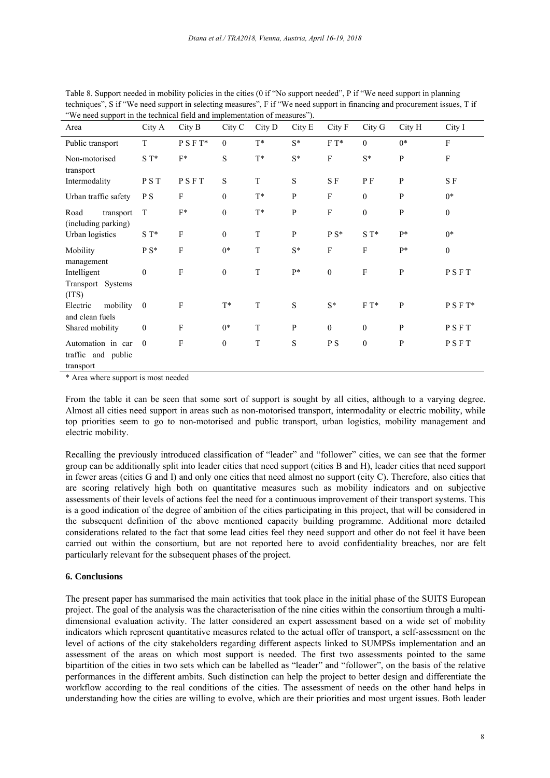| we need support in the technical field and implementation of incastites ).<br>Area | City A           | City B                    | City C           | City D      | City E       | City F           | City G           | City H       | City I           |
|------------------------------------------------------------------------------------|------------------|---------------------------|------------------|-------------|--------------|------------------|------------------|--------------|------------------|
| Public transport                                                                   | T                | $\rm P\;S\;F\;T^*$        | $\theta$         | $T^*$       | $S^*$        | $F T^*$          | $\theta$         | $0*$         | $\mathbf{F}$     |
| Non-motorised<br>transport                                                         | $S T^*$          | $F^*$                     | S                | $T^*$       | $S^*$        | F                | $S^*$            | ${\bf P}$    | $\rm F$          |
| Intermodality                                                                      | PST              | PSFT                      | $\mathbf S$      | T           | S            | SF               | P F              | $\mathbf{P}$ | SF               |
| Urban traffic safety                                                               | P S              | F                         | $\boldsymbol{0}$ | $T^*$       | $\mathbf{P}$ | F                | $\mathbf{0}$     | $\mathbf{P}$ | $0*$             |
| Road<br>transport<br>(including parking)                                           | T                | $\mathcal{F}^*$           | $\boldsymbol{0}$ | $T^*$       | ${\bf P}$    | $\mathbf F$      | $\boldsymbol{0}$ | ${\bf P}$    | $\boldsymbol{0}$ |
| Urban logistics                                                                    | $S T^*$          | $\mathbf F$               | $\boldsymbol{0}$ | T           | P            | $\rm P\; S^*$    | $S T^*$          | $P*$         | $0*$             |
| Mobility<br>management                                                             | $P S^*$          | $\rm F$                   | $0*$             | T           | $S^*$        | $\overline{F}$   | $\mathbf{F}$     | $P*$         | $\boldsymbol{0}$ |
| Intelligent<br>Transport Systems<br>(TTS)                                          | $\boldsymbol{0}$ | $\boldsymbol{\mathrm{F}}$ | $\boldsymbol{0}$ | $\mathbf T$ | $P*$         | $\boldsymbol{0}$ | $\mathbf F$      | ${\bf P}$    | PSFT             |
| mobility<br>Electric<br>and clean fuels                                            | $\bf{0}$         | $\mathbf{F}$              | $T^*$            | T           | S            | $S^*$            | $F T^*$          | $\mathbf{P}$ | $P S F T^*$      |
| Shared mobility                                                                    | $\boldsymbol{0}$ | $\mathbf{F}$              | $0*$             | T           | $\mathbf{P}$ | $\mathbf{0}$     | $\mathbf{0}$     | $\mathbf{P}$ | PSFT             |
| Automation in car<br>traffic and public<br>transport                               | $\mathbf{0}$     | $\mathbf{F}$              | $\boldsymbol{0}$ | T           | S            | P S              | $\mathbf{0}$     | P            | PSFT             |

Table 8. Support needed in mobility policies in the cities (0 if "No support needed", P if "We need support in planning techniques", S if "We need support in selecting measures", F if "We need support in financing and procurement issues, T if "We need support in the technical field and implementation of measures").

\* Area where support is most needed

From the table it can be seen that some sort of support is sought by all cities, although to a varying degree. Almost all cities need support in areas such as non-motorised transport, intermodality or electric mobility, while top priorities seem to go to non-motorised and public transport, urban logistics, mobility management and electric mobility.

Recalling the previously introduced classification of "leader" and "follower" cities, we can see that the former group can be additionally split into leader cities that need support (cities B and H), leader cities that need support in fewer areas (cities G and I) and only one cities that need almost no support (city C). Therefore, also cities that are scoring relatively high both on quantitative measures such as mobility indicators and on subjective assessments of their levels of actions feel the need for a continuous improvement of their transport systems. This is a good indication of the degree of ambition of the cities participating in this project, that will be considered in the subsequent definition of the above mentioned capacity building programme. Additional more detailed considerations related to the fact that some lead cities feel they need support and other do not feel it have been carried out within the consortium, but are not reported here to avoid confidentiality breaches, nor are felt particularly relevant for the subsequent phases of the project.

#### **6. Conclusions**

The present paper has summarised the main activities that took place in the initial phase of the SUITS European project. The goal of the analysis was the characterisation of the nine cities within the consortium through a multidimensional evaluation activity. The latter considered an expert assessment based on a wide set of mobility indicators which represent quantitative measures related to the actual offer of transport, a self-assessment on the level of actions of the city stakeholders regarding different aspects linked to SUMPSs implementation and an assessment of the areas on which most support is needed. The first two assessments pointed to the same bipartition of the cities in two sets which can be labelled as "leader" and "follower", on the basis of the relative performances in the different ambits. Such distinction can help the project to better design and differentiate the workflow according to the real conditions of the cities. The assessment of needs on the other hand helps in understanding how the cities are willing to evolve, which are their priorities and most urgent issues. Both leader